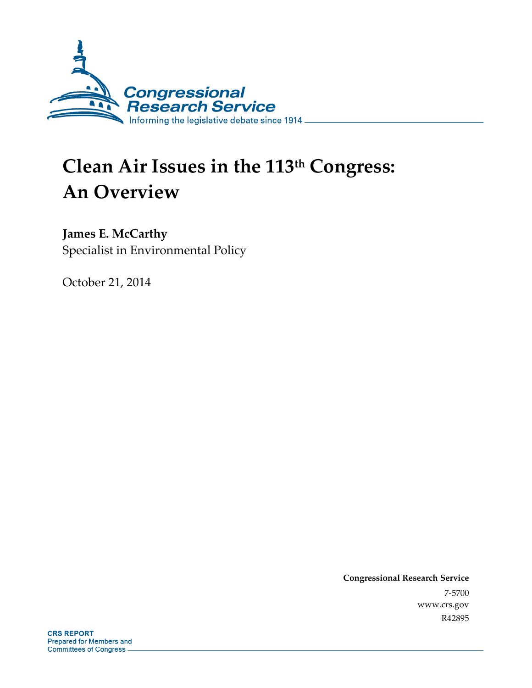

# **Clean Air Issues in the 113th Congress: An Overview**

### **James E. McCarthy**

Specialist in Environmental Policy

October 21, 2014

**Congressional Research Service**  7-5700 www.crs.gov R42895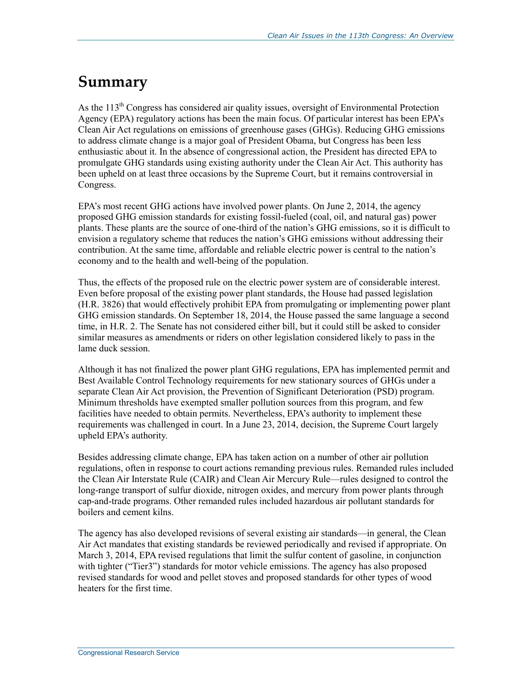## **Summary**

As the  $113<sup>th</sup>$  Congress has considered air quality issues, oversight of Environmental Protection Agency (EPA) regulatory actions has been the main focus. Of particular interest has been EPA's Clean Air Act regulations on emissions of greenhouse gases (GHGs). Reducing GHG emissions to address climate change is a major goal of President Obama, but Congress has been less enthusiastic about it. In the absence of congressional action, the President has directed EPA to promulgate GHG standards using existing authority under the Clean Air Act. This authority has been upheld on at least three occasions by the Supreme Court, but it remains controversial in Congress.

EPA's most recent GHG actions have involved power plants. On June 2, 2014, the agency proposed GHG emission standards for existing fossil-fueled (coal, oil, and natural gas) power plants. These plants are the source of one-third of the nation's GHG emissions, so it is difficult to envision a regulatory scheme that reduces the nation's GHG emissions without addressing their contribution. At the same time, affordable and reliable electric power is central to the nation's economy and to the health and well-being of the population.

Thus, the effects of the proposed rule on the electric power system are of considerable interest. Even before proposal of the existing power plant standards, the House had passed legislation (H.R. 3826) that would effectively prohibit EPA from promulgating or implementing power plant GHG emission standards. On September 18, 2014, the House passed the same language a second time, in H.R. 2. The Senate has not considered either bill, but it could still be asked to consider similar measures as amendments or riders on other legislation considered likely to pass in the lame duck session.

Although it has not finalized the power plant GHG regulations, EPA has implemented permit and Best Available Control Technology requirements for new stationary sources of GHGs under a separate Clean Air Act provision, the Prevention of Significant Deterioration (PSD) program. Minimum thresholds have exempted smaller pollution sources from this program, and few facilities have needed to obtain permits. Nevertheless, EPA's authority to implement these requirements was challenged in court. In a June 23, 2014, decision, the Supreme Court largely upheld EPA's authority.

Besides addressing climate change, EPA has taken action on a number of other air pollution regulations, often in response to court actions remanding previous rules. Remanded rules included the Clean Air Interstate Rule (CAIR) and Clean Air Mercury Rule—rules designed to control the long-range transport of sulfur dioxide, nitrogen oxides, and mercury from power plants through cap-and-trade programs. Other remanded rules included hazardous air pollutant standards for boilers and cement kilns.

The agency has also developed revisions of several existing air standards—in general, the Clean Air Act mandates that existing standards be reviewed periodically and revised if appropriate. On March 3, 2014, EPA revised regulations that limit the sulfur content of gasoline, in conjunction with tighter ("Tier3") standards for motor vehicle emissions. The agency has also proposed revised standards for wood and pellet stoves and proposed standards for other types of wood heaters for the first time.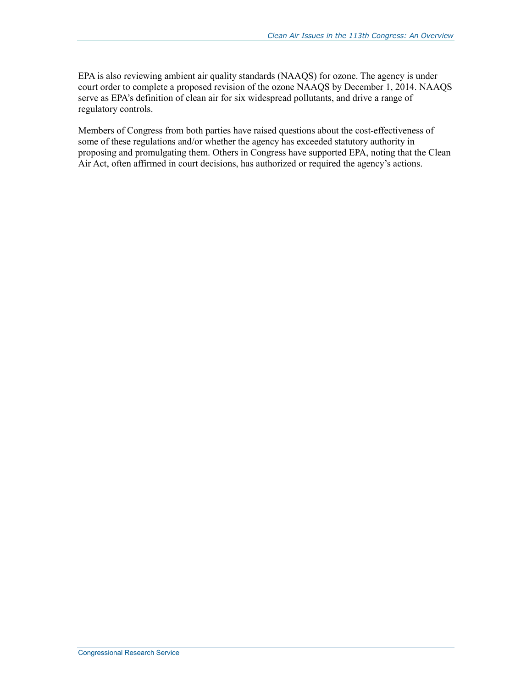EPA is also reviewing ambient air quality standards (NAAQS) for ozone. The agency is under court order to complete a proposed revision of the ozone NAAQS by December 1, 2014. NAAQS serve as EPA's definition of clean air for six widespread pollutants, and drive a range of regulatory controls.

Members of Congress from both parties have raised questions about the cost-effectiveness of some of these regulations and/or whether the agency has exceeded statutory authority in proposing and promulgating them. Others in Congress have supported EPA, noting that the Clean Air Act, often affirmed in court decisions, has authorized or required the agency's actions.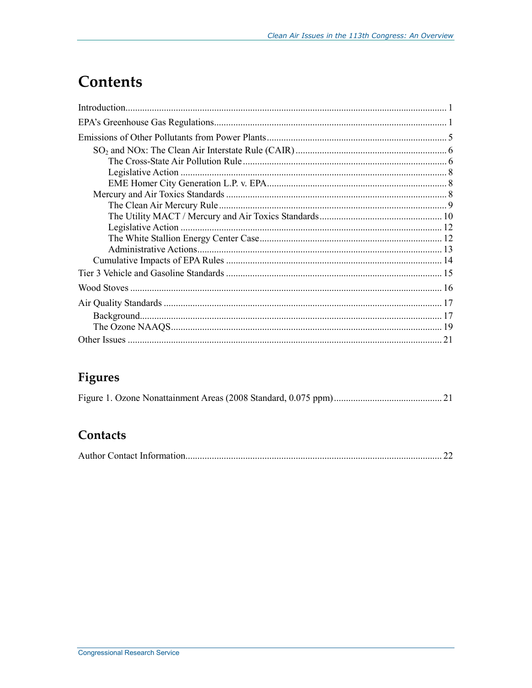## **Contents**

### Figures

### Contacts

|--|--|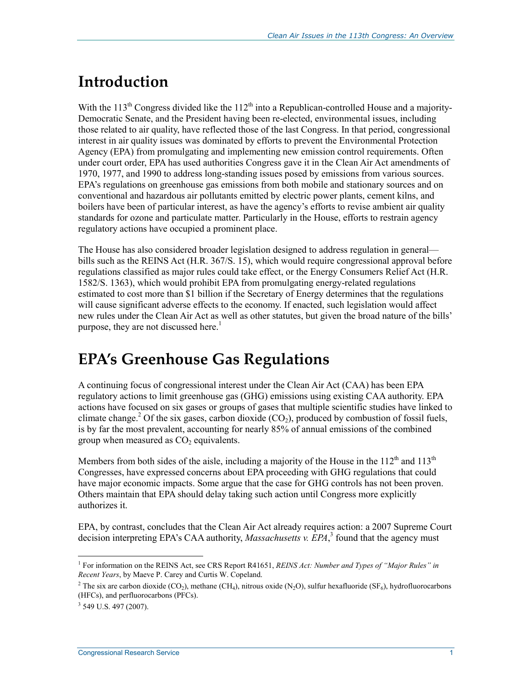## **Introduction**

With the  $113<sup>th</sup>$  Congress divided like the  $112<sup>th</sup>$  into a Republican-controlled House and a majority-Democratic Senate, and the President having been re-elected, environmental issues, including those related to air quality, have reflected those of the last Congress. In that period, congressional interest in air quality issues was dominated by efforts to prevent the Environmental Protection Agency (EPA) from promulgating and implementing new emission control requirements. Often under court order, EPA has used authorities Congress gave it in the Clean Air Act amendments of 1970, 1977, and 1990 to address long-standing issues posed by emissions from various sources. EPA's regulations on greenhouse gas emissions from both mobile and stationary sources and on conventional and hazardous air pollutants emitted by electric power plants, cement kilns, and boilers have been of particular interest, as have the agency's efforts to revise ambient air quality standards for ozone and particulate matter. Particularly in the House, efforts to restrain agency regulatory actions have occupied a prominent place.

The House has also considered broader legislation designed to address regulation in general bills such as the REINS Act (H.R. 367/S. 15), which would require congressional approval before regulations classified as major rules could take effect, or the Energy Consumers Relief Act (H.R. 1582/S. 1363), which would prohibit EPA from promulgating energy-related regulations estimated to cost more than \$1 billion if the Secretary of Energy determines that the regulations will cause significant adverse effects to the economy. If enacted, such legislation would affect new rules under the Clean Air Act as well as other statutes, but given the broad nature of the bills' purpose, they are not discussed here.<sup>1</sup>

## **EPA's Greenhouse Gas Regulations**

A continuing focus of congressional interest under the Clean Air Act (CAA) has been EPA regulatory actions to limit greenhouse gas (GHG) emissions using existing CAA authority. EPA actions have focused on six gases or groups of gases that multiple scientific studies have linked to climate change.<sup>2</sup> Of the six gases, carbon dioxide  $(CO_2)$ , produced by combustion of fossil fuels, is by far the most prevalent, accounting for nearly 85% of annual emissions of the combined group when measured as  $CO<sub>2</sub>$  equivalents.

Members from both sides of the aisle, including a majority of the House in the  $112<sup>th</sup>$  and  $113<sup>th</sup>$ Congresses, have expressed concerns about EPA proceeding with GHG regulations that could have major economic impacts. Some argue that the case for GHG controls has not been proven. Others maintain that EPA should delay taking such action until Congress more explicitly authorizes it.

EPA, by contrast, concludes that the Clean Air Act already requires action: a 2007 Supreme Court decision interpreting EPA's CAA authority, *Massachusetts v. EPA*,<sup>3</sup> found that the agency must

<sup>1</sup> <sup>1</sup> For information on the REINS Act, see CRS Report R41651, *REINS Act: Number and Types of "Major Rules" in Recent Years*, by Maeve P. Carey and Curtis W. Copeland.

<sup>&</sup>lt;sup>2</sup> The six are carbon dioxide (CO<sub>2</sub>), methane (CH<sub>4</sub>), nitrous oxide (N<sub>2</sub>O), sulfur hexafluoride (SF<sub>6</sub>), hydrofluorocarbons (HFCs), and perfluorocarbons (PFCs).

 $3$  549 U.S. 497 (2007).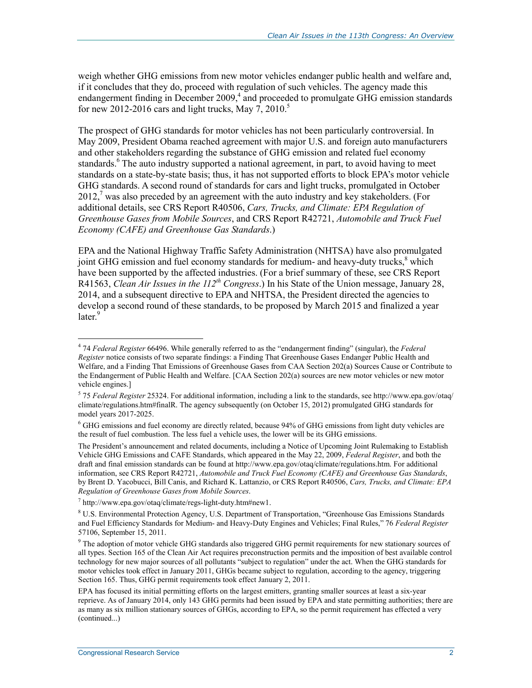weigh whether GHG emissions from new motor vehicles endanger public health and welfare and, if it concludes that they do, proceed with regulation of such vehicles. The agency made this endangerment finding in December 2009,<sup>4</sup> and proceeded to promulgate GHG emission standards for new 2012-2016 cars and light trucks, May  $7, 2010$ .<sup>5</sup>

The prospect of GHG standards for motor vehicles has not been particularly controversial. In May 2009, President Obama reached agreement with major U.S. and foreign auto manufacturers and other stakeholders regarding the substance of GHG emission and related fuel economy standards.<sup>6</sup> The auto industry supported a national agreement, in part, to avoid having to meet standards on a state-by-state basis; thus, it has not supported efforts to block EPA's motor vehicle GHG standards. A second round of standards for cars and light trucks, promulgated in October  $2012<sub>1</sub><sup>7</sup>$  was also preceded by an agreement with the auto industry and key stakeholders. (For additional details, see CRS Report R40506, *Cars, Trucks, and Climate: EPA Regulation of Greenhouse Gases from Mobile Sources*, and CRS Report R42721, *Automobile and Truck Fuel Economy (CAFE) and Greenhouse Gas Standards*.)

EPA and the National Highway Traffic Safety Administration (NHTSA) have also promulgated joint GHG emission and fuel economy standards for medium- and heavy-duty trucks,<sup>8</sup> which have been supported by the affected industries. (For a brief summary of these, see CRS Report R41563, *Clean Air Issues in the 112th Congress*.) In his State of the Union message, January 28, 2014, and a subsequent directive to EPA and NHTSA, the President directed the agencies to develop a second round of these standards, to be proposed by March 2015 and finalized a year later.<sup>9</sup>

<sup>4</sup> 74 *Federal Register* 66496. While generally referred to as the "endangerment finding" (singular), the *Federal Register* notice consists of two separate findings: a Finding That Greenhouse Gases Endanger Public Health and Welfare, and a Finding That Emissions of Greenhouse Gases from CAA Section 202(a) Sources Cause or Contribute to the Endangerment of Public Health and Welfare. [CAA Section 202(a) sources are new motor vehicles or new motor vehicle engines.]

<sup>5</sup> 75 *Federal Register* 25324. For additional information, including a link to the standards, see http://www.epa.gov/otaq/ climate/regulations.htm#finalR. The agency subsequently (on October 15, 2012) promulgated GHG standards for model years 2017-2025.

<sup>&</sup>lt;sup>6</sup> GHG emissions and fuel economy are directly related, because 94% of GHG emissions from light duty vehicles are the result of fuel combustion. The less fuel a vehicle uses, the lower will be its GHG emissions.

The President's announcement and related documents, including a Notice of Upcoming Joint Rulemaking to Establish Vehicle GHG Emissions and CAFE Standards, which appeared in the May 22, 2009, *Federal Register*, and both the draft and final emission standards can be found at http://www.epa.gov/otaq/climate/regulations.htm. For additional information, see CRS Report R42721, *Automobile and Truck Fuel Economy (CAFE) and Greenhouse Gas Standards*, by Brent D. Yacobucci, Bill Canis, and Richard K. Lattanzio, or CRS Report R40506, *Cars, Trucks, and Climate: EPA Regulation of Greenhouse Gases from Mobile Sources*.

 $^7$  http://www.epa.gov/otaq/climate/regs-light-duty.htm#new1.

<sup>8</sup> U.S. Environmental Protection Agency, U.S. Department of Transportation, "Greenhouse Gas Emissions Standards and Fuel Efficiency Standards for Medium- and Heavy-Duty Engines and Vehicles; Final Rules," 76 *Federal Register*  57106, September 15, 2011.

<sup>&</sup>lt;sup>9</sup> The adoption of motor vehicle GHG standards also triggered GHG permit requirements for new stationary sources of all types. Section 165 of the Clean Air Act requires preconstruction permits and the imposition of best available control technology for new major sources of all pollutants "subject to regulation" under the act. When the GHG standards for motor vehicles took effect in January 2011, GHGs became subject to regulation, according to the agency, triggering Section 165. Thus, GHG permit requirements took effect January 2, 2011.

EPA has focused its initial permitting efforts on the largest emitters, granting smaller sources at least a six-year reprieve. As of January 2014, only 143 GHG permits had been issued by EPA and state permitting authorities; there are as many as six million stationary sources of GHGs, according to EPA, so the permit requirement has effected a very (continued...)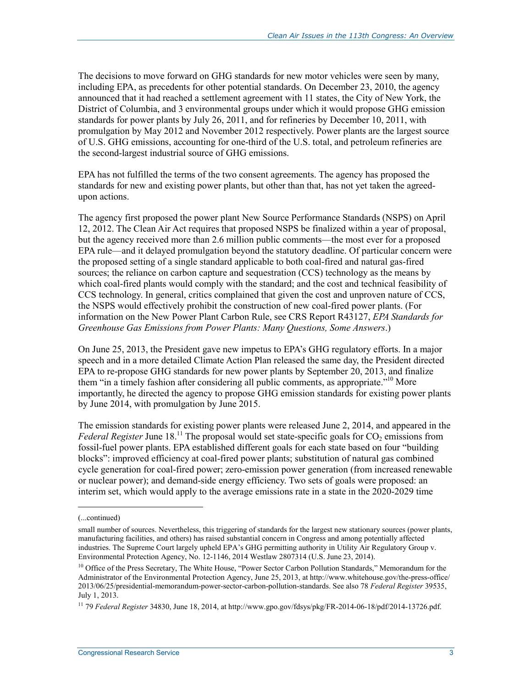The decisions to move forward on GHG standards for new motor vehicles were seen by many, including EPA, as precedents for other potential standards. On December 23, 2010, the agency announced that it had reached a settlement agreement with 11 states, the City of New York, the District of Columbia, and 3 environmental groups under which it would propose GHG emission standards for power plants by July 26, 2011, and for refineries by December 10, 2011, with promulgation by May 2012 and November 2012 respectively. Power plants are the largest source of U.S. GHG emissions, accounting for one-third of the U.S. total, and petroleum refineries are the second-largest industrial source of GHG emissions.

EPA has not fulfilled the terms of the two consent agreements. The agency has proposed the standards for new and existing power plants, but other than that, has not yet taken the agreedupon actions.

The agency first proposed the power plant New Source Performance Standards (NSPS) on April 12, 2012. The Clean Air Act requires that proposed NSPS be finalized within a year of proposal, but the agency received more than 2.6 million public comments—the most ever for a proposed EPA rule—and it delayed promulgation beyond the statutory deadline. Of particular concern were the proposed setting of a single standard applicable to both coal-fired and natural gas-fired sources; the reliance on carbon capture and sequestration (CCS) technology as the means by which coal-fired plants would comply with the standard; and the cost and technical feasibility of CCS technology. In general, critics complained that given the cost and unproven nature of CCS, the NSPS would effectively prohibit the construction of new coal-fired power plants. (For information on the New Power Plant Carbon Rule, see CRS Report R43127, *EPA Standards for Greenhouse Gas Emissions from Power Plants: Many Questions, Some Answers*.)

On June 25, 2013, the President gave new impetus to EPA's GHG regulatory efforts. In a major speech and in a more detailed Climate Action Plan released the same day, the President directed EPA to re-propose GHG standards for new power plants by September 20, 2013, and finalize them "in a timely fashion after considering all public comments, as appropriate."<sup>10</sup> More importantly, he directed the agency to propose GHG emission standards for existing power plants by June 2014, with promulgation by June 2015.

The emission standards for existing power plants were released June 2, 2014, and appeared in the *Federal Register* June 18.<sup>11</sup> The proposal would set state-specific goals for  $CO<sub>2</sub>$  emissions from fossil-fuel power plants. EPA established different goals for each state based on four "building blocks": improved efficiency at coal-fired power plants; substitution of natural gas combined cycle generation for coal-fired power; zero-emission power generation (from increased renewable or nuclear power); and demand-side energy efficiency. Two sets of goals were proposed: an interim set, which would apply to the average emissions rate in a state in the 2020-2029 time

<sup>(...</sup>continued)

small number of sources. Nevertheless, this triggering of standards for the largest new stationary sources (power plants, manufacturing facilities, and others) has raised substantial concern in Congress and among potentially affected industries. The Supreme Court largely upheld EPA's GHG permitting authority in Utility Air Regulatory Group v. Environmental Protection Agency, No. 12-1146, 2014 Westlaw 2807314 (U.S. June 23, 2014).

<sup>&</sup>lt;sup>10</sup> Office of the Press Secretary, The White House, "Power Sector Carbon Pollution Standards," Memorandum for the Administrator of the Environmental Protection Agency, June 25, 2013, at http://www.whitehouse.gov/the-press-office/ 2013/06/25/presidential-memorandum-power-sector-carbon-pollution-standards. See also 78 *Federal Register* 39535, July 1, 2013.

<sup>11 79</sup> *Federal Register* 34830, June 18, 2014, at http://www.gpo.gov/fdsys/pkg/FR-2014-06-18/pdf/2014-13726.pdf.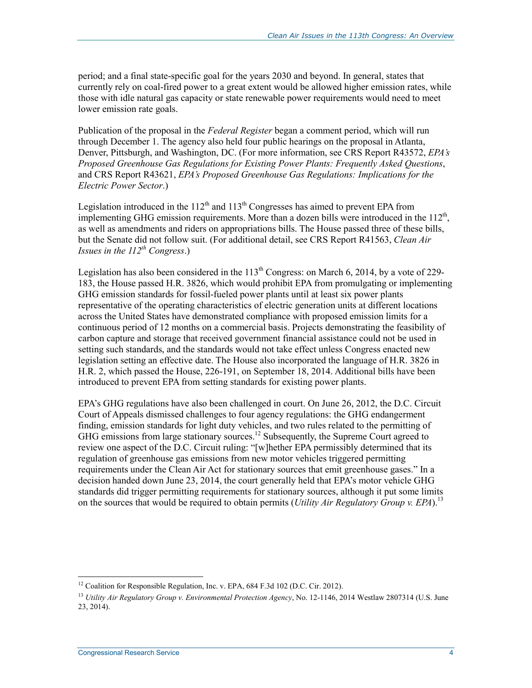period; and a final state-specific goal for the years 2030 and beyond. In general, states that currently rely on coal-fired power to a great extent would be allowed higher emission rates, while those with idle natural gas capacity or state renewable power requirements would need to meet lower emission rate goals.

Publication of the proposal in the *Federal Register* began a comment period, which will run through December 1. The agency also held four public hearings on the proposal in Atlanta, Denver, Pittsburgh, and Washington, DC. (For more information, see CRS Report R43572, *EPA's Proposed Greenhouse Gas Regulations for Existing Power Plants: Frequently Asked Questions*, and CRS Report R43621, *EPA's Proposed Greenhouse Gas Regulations: Implications for the Electric Power Sector*.)

Legislation introduced in the  $112<sup>th</sup>$  and  $113<sup>th</sup>$  Congresses has aimed to prevent EPA from implementing GHG emission requirements. More than a dozen bills were introduced in the  $112<sup>th</sup>$ . as well as amendments and riders on appropriations bills. The House passed three of these bills, but the Senate did not follow suit. (For additional detail, see CRS Report R41563, *Clean Air Issues in the 112th Congress*.)

Legislation has also been considered in the  $113<sup>th</sup>$  Congress: on March 6, 2014, by a vote of 229-183, the House passed H.R. 3826, which would prohibit EPA from promulgating or implementing GHG emission standards for fossil-fueled power plants until at least six power plants representative of the operating characteristics of electric generation units at different locations across the United States have demonstrated compliance with proposed emission limits for a continuous period of 12 months on a commercial basis. Projects demonstrating the feasibility of carbon capture and storage that received government financial assistance could not be used in setting such standards, and the standards would not take effect unless Congress enacted new legislation setting an effective date. The House also incorporated the language of H.R. 3826 in H.R. 2, which passed the House, 226-191, on September 18, 2014. Additional bills have been introduced to prevent EPA from setting standards for existing power plants.

EPA's GHG regulations have also been challenged in court. On June 26, 2012, the D.C. Circuit Court of Appeals dismissed challenges to four agency regulations: the GHG endangerment finding, emission standards for light duty vehicles, and two rules related to the permitting of GHG emissions from large stationary sources.<sup>12</sup> Subsequently, the Supreme Court agreed to review one aspect of the D.C. Circuit ruling: "[w]hether EPA permissibly determined that its regulation of greenhouse gas emissions from new motor vehicles triggered permitting requirements under the Clean Air Act for stationary sources that emit greenhouse gases." In a decision handed down June 23, 2014, the court generally held that EPA's motor vehicle GHG standards did trigger permitting requirements for stationary sources, although it put some limits on the sources that would be required to obtain permits (*Utility Air Regulatory Group v. EPA*).13

<sup>&</sup>lt;sup>12</sup> Coalition for Responsible Regulation, Inc. v. EPA, 684 F.3d 102 (D.C. Cir. 2012).

<sup>13</sup> *Utility Air Regulatory Group v. Environmental Protection Agency*, No. 12-1146, 2014 Westlaw 2807314 (U.S. June 23, 2014).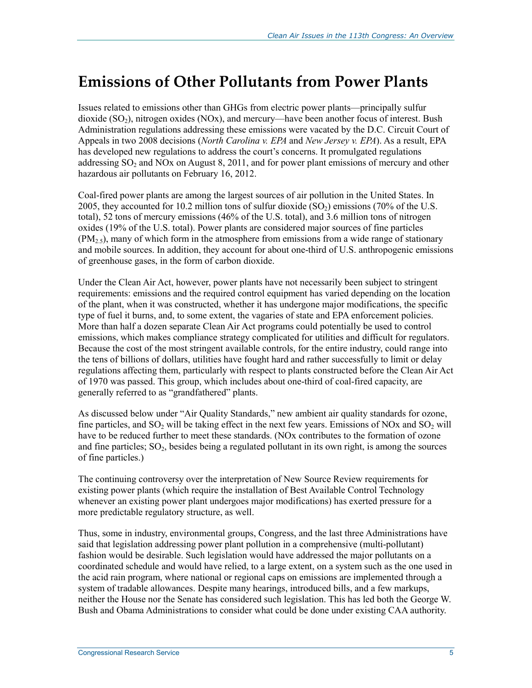## **Emissions of Other Pollutants from Power Plants**

Issues related to emissions other than GHGs from electric power plants—principally sulfur dioxide  $(SO<sub>2</sub>)$ , nitrogen oxides  $(NOx)$ , and mercury—have been another focus of interest. Bush Administration regulations addressing these emissions were vacated by the D.C. Circuit Court of Appeals in two 2008 decisions (*North Carolina v. EPA* and *New Jersey v. EPA*). As a result, EPA has developed new regulations to address the court's concerns. It promulgated regulations addressing  $SO_2$  and NOx on August 8, 2011, and for power plant emissions of mercury and other hazardous air pollutants on February 16, 2012.

Coal-fired power plants are among the largest sources of air pollution in the United States. In 2005, they accounted for 10.2 million tons of sulfur dioxide  $(SO<sub>2</sub>)$  emissions (70% of the U.S. total), 52 tons of mercury emissions (46% of the U.S. total), and 3.6 million tons of nitrogen oxides (19% of the U.S. total). Power plants are considered major sources of fine particles  $(PM<sub>2.5</sub>)$ , many of which form in the atmosphere from emissions from a wide range of stationary and mobile sources. In addition, they account for about one-third of U.S. anthropogenic emissions of greenhouse gases, in the form of carbon dioxide.

Under the Clean Air Act, however, power plants have not necessarily been subject to stringent requirements: emissions and the required control equipment has varied depending on the location of the plant, when it was constructed, whether it has undergone major modifications, the specific type of fuel it burns, and, to some extent, the vagaries of state and EPA enforcement policies. More than half a dozen separate Clean Air Act programs could potentially be used to control emissions, which makes compliance strategy complicated for utilities and difficult for regulators. Because the cost of the most stringent available controls, for the entire industry, could range into the tens of billions of dollars, utilities have fought hard and rather successfully to limit or delay regulations affecting them, particularly with respect to plants constructed before the Clean Air Act of 1970 was passed. This group, which includes about one-third of coal-fired capacity, are generally referred to as "grandfathered" plants.

As discussed below under "Air Quality Standards," new ambient air quality standards for ozone, fine particles, and  $SO_2$  will be taking effect in the next few years. Emissions of NOx and  $SO_2$  will have to be reduced further to meet these standards. (NOx contributes to the formation of ozone and fine particles;  $SO<sub>2</sub>$ , besides being a regulated pollutant in its own right, is among the sources of fine particles.)

The continuing controversy over the interpretation of New Source Review requirements for existing power plants (which require the installation of Best Available Control Technology whenever an existing power plant undergoes major modifications) has exerted pressure for a more predictable regulatory structure, as well.

Thus, some in industry, environmental groups, Congress, and the last three Administrations have said that legislation addressing power plant pollution in a comprehensive (multi-pollutant) fashion would be desirable. Such legislation would have addressed the major pollutants on a coordinated schedule and would have relied, to a large extent, on a system such as the one used in the acid rain program, where national or regional caps on emissions are implemented through a system of tradable allowances. Despite many hearings, introduced bills, and a few markups, neither the House nor the Senate has considered such legislation. This has led both the George W. Bush and Obama Administrations to consider what could be done under existing CAA authority.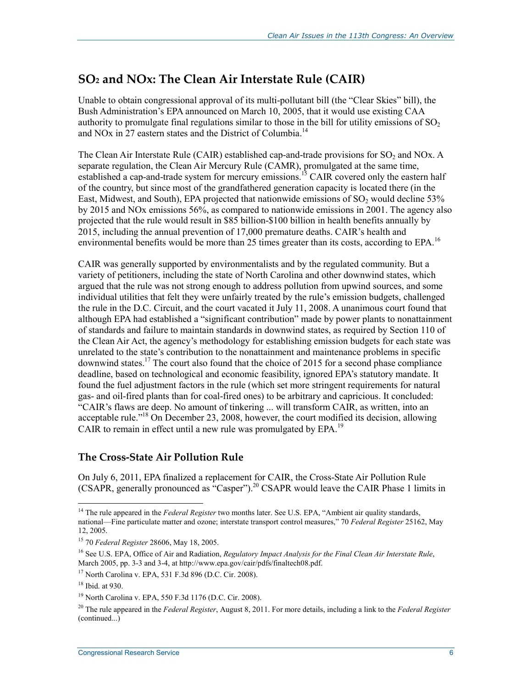### **SO2 and NOx: The Clean Air Interstate Rule (CAIR)**

Unable to obtain congressional approval of its multi-pollutant bill (the "Clear Skies" bill), the Bush Administration's EPA announced on March 10, 2005, that it would use existing CAA authority to promulgate final regulations similar to those in the bill for utility emissions of  $SO<sub>2</sub>$ and NO<sub>x</sub> in 27 eastern states and the District of Columbia.<sup>14</sup>

The Clean Air Interstate Rule (CAIR) established cap-and-trade provisions for  $SO<sub>2</sub>$  and NOx. A separate regulation, the Clean Air Mercury Rule (CAMR), promulgated at the same time, established a cap-and-trade system for mercury emissions.<sup>15</sup> CAIR covered only the eastern half of the country, but since most of the grandfathered generation capacity is located there (in the East, Midwest, and South), EPA projected that nationwide emissions of  $SO<sub>2</sub>$  would decline 53% by 2015 and NOx emissions 56%, as compared to nationwide emissions in 2001. The agency also projected that the rule would result in \$85 billion-\$100 billion in health benefits annually by 2015, including the annual prevention of 17,000 premature deaths. CAIR's health and environmental benefits would be more than 25 times greater than its costs, according to EPA.<sup>16</sup>

CAIR was generally supported by environmentalists and by the regulated community. But a variety of petitioners, including the state of North Carolina and other downwind states, which argued that the rule was not strong enough to address pollution from upwind sources, and some individual utilities that felt they were unfairly treated by the rule's emission budgets, challenged the rule in the D.C. Circuit, and the court vacated it July 11, 2008. A unanimous court found that although EPA had established a "significant contribution" made by power plants to nonattainment of standards and failure to maintain standards in downwind states, as required by Section 110 of the Clean Air Act, the agency's methodology for establishing emission budgets for each state was unrelated to the state's contribution to the nonattainment and maintenance problems in specific downwind states.<sup>17</sup> The court also found that the choice of 2015 for a second phase compliance deadline, based on technological and economic feasibility, ignored EPA's statutory mandate. It found the fuel adjustment factors in the rule (which set more stringent requirements for natural gas- and oil-fired plants than for coal-fired ones) to be arbitrary and capricious. It concluded: "CAIR's flaws are deep. No amount of tinkering ... will transform CAIR, as written, into an acceptable rule."<sup>18</sup> On December 23, 2008, however, the court modified its decision, allowing CAIR to remain in effect until a new rule was promulgated by EPA.<sup>19</sup>

#### **The Cross-State Air Pollution Rule**

On July 6, 2011, EPA finalized a replacement for CAIR, the Cross-State Air Pollution Rule (CSAPR, generally pronounced as  $^{4}$ Casper").<sup>20</sup> CSAPR would leave the CAIR Phase 1 limits in

<sup>&</sup>lt;sup>14</sup> The rule appeared in the *Federal Register* two months later. See U.S. EPA, "Ambient air quality standards, national—Fine particulate matter and ozone; interstate transport control measures," 70 *Federal Register* 25162, May 12, 2005.

<sup>15 70</sup> *Federal Register* 28606, May 18, 2005.

<sup>16</sup> See U.S. EPA, Office of Air and Radiation, *Regulatory Impact Analysis for the Final Clean Air Interstate Rule*, March 2005, pp. 3-3 and 3-4, at http://www.epa.gov/cair/pdfs/finaltech08.pdf.

<sup>17</sup> North Carolina v. EPA, 531 F.3d 896 (D.C. Cir. 2008).

<sup>18</sup> Ibid. at 930.

<sup>19</sup> North Carolina v. EPA, 550 F.3d 1176 (D.C. Cir. 2008).

<sup>20</sup> The rule appeared in the *Federal Register*, August 8, 2011. For more details, including a link to the *Federal Register* (continued...)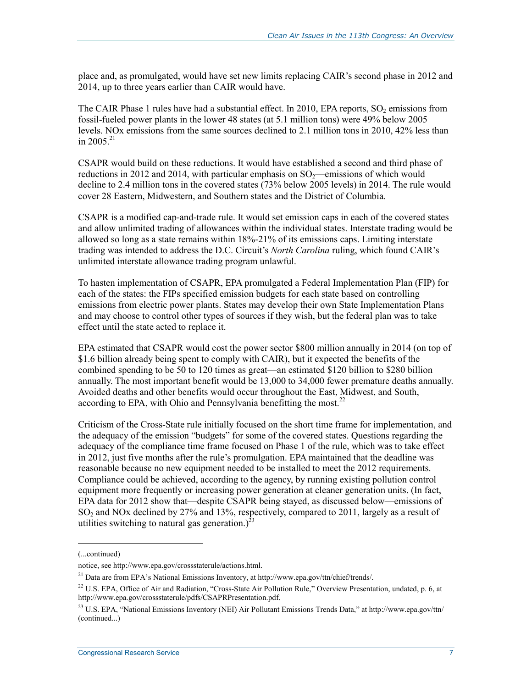place and, as promulgated, would have set new limits replacing CAIR's second phase in 2012 and 2014, up to three years earlier than CAIR would have.

The CAIR Phase 1 rules have had a substantial effect. In 2010, EPA reports,  $SO<sub>2</sub>$  emissions from fossil-fueled power plants in the lower 48 states (at 5.1 million tons) were 49% below 2005 levels. NOx emissions from the same sources declined to 2.1 million tons in 2010, 42% less than in 2005 $^{21}$ 

CSAPR would build on these reductions. It would have established a second and third phase of reductions in 2012 and 2014, with particular emphasis on  $SO<sub>2</sub>$ —emissions of which would decline to 2.4 million tons in the covered states (73% below 2005 levels) in 2014. The rule would cover 28 Eastern, Midwestern, and Southern states and the District of Columbia.

CSAPR is a modified cap-and-trade rule. It would set emission caps in each of the covered states and allow unlimited trading of allowances within the individual states. Interstate trading would be allowed so long as a state remains within 18%-21% of its emissions caps. Limiting interstate trading was intended to address the D.C. Circuit's *North Carolina* ruling, which found CAIR's unlimited interstate allowance trading program unlawful.

To hasten implementation of CSAPR, EPA promulgated a Federal Implementation Plan (FIP) for each of the states: the FIPs specified emission budgets for each state based on controlling emissions from electric power plants. States may develop their own State Implementation Plans and may choose to control other types of sources if they wish, but the federal plan was to take effect until the state acted to replace it.

EPA estimated that CSAPR would cost the power sector \$800 million annually in 2014 (on top of \$1.6 billion already being spent to comply with CAIR), but it expected the benefits of the combined spending to be 50 to 120 times as great—an estimated \$120 billion to \$280 billion annually. The most important benefit would be 13,000 to 34,000 fewer premature deaths annually. Avoided deaths and other benefits would occur throughout the East, Midwest, and South, according to EPA, with Ohio and Pennsylvania benefitting the most.<sup>22</sup>

Criticism of the Cross-State rule initially focused on the short time frame for implementation, and the adequacy of the emission "budgets" for some of the covered states. Questions regarding the adequacy of the compliance time frame focused on Phase 1 of the rule, which was to take effect in 2012, just five months after the rule's promulgation. EPA maintained that the deadline was reasonable because no new equipment needed to be installed to meet the 2012 requirements. Compliance could be achieved, according to the agency, by running existing pollution control equipment more frequently or increasing power generation at cleaner generation units. (In fact, EPA data for 2012 show that—despite CSAPR being stayed, as discussed below—emissions of  $SO<sub>2</sub>$  and NOx declined by 27% and 13%, respectively, compared to 2011, largely as a result of utilities switching to natural gas generation.) $^{23}$ 

 $\overline{a}$ 

<sup>(...</sup>continued)

notice, see http://www.epa.gov/crossstaterule/actions.html.

<sup>21</sup> Data are from EPA's National Emissions Inventory, at http://www.epa.gov/ttn/chief/trends/.

<sup>&</sup>lt;sup>22</sup> U.S. EPA, Office of Air and Radiation, "Cross-State Air Pollution Rule," Overview Presentation, undated, p. 6, at http://www.epa.gov/crossstaterule/pdfs/CSAPRPresentation.pdf.

<sup>&</sup>lt;sup>23</sup> U.S. EPA, "National Emissions Inventory (NEI) Air Pollutant Emissions Trends Data," at http://www.epa.gov/ttn/ (continued...)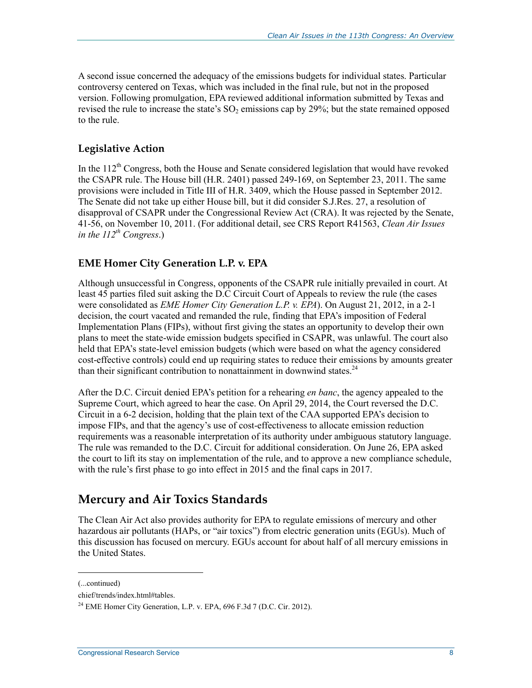A second issue concerned the adequacy of the emissions budgets for individual states. Particular controversy centered on Texas, which was included in the final rule, but not in the proposed version. Following promulgation, EPA reviewed additional information submitted by Texas and revised the rule to increase the state's  $SO_2$  emissions cap by 29%; but the state remained opposed to the rule.

#### **Legislative Action**

In the  $112<sup>th</sup>$  Congress, both the House and Senate considered legislation that would have revoked the CSAPR rule. The House bill (H.R. 2401) passed 249-169, on September 23, 2011. The same provisions were included in Title III of H.R. 3409, which the House passed in September 2012. The Senate did not take up either House bill, but it did consider S.J.Res. 27, a resolution of disapproval of CSAPR under the Congressional Review Act (CRA). It was rejected by the Senate, 41-56, on November 10, 2011. (For additional detail, see CRS Report R41563, *Clean Air Issues in the 112th Congress*.)

#### **EME Homer City Generation L.P. v. EPA**

Although unsuccessful in Congress, opponents of the CSAPR rule initially prevailed in court. At least 45 parties filed suit asking the D.C Circuit Court of Appeals to review the rule (the cases were consolidated as *EME Homer City Generation L.P. v. EPA*). On August 21, 2012, in a 2-1 decision, the court vacated and remanded the rule, finding that EPA's imposition of Federal Implementation Plans (FIPs), without first giving the states an opportunity to develop their own plans to meet the state-wide emission budgets specified in CSAPR, was unlawful. The court also held that EPA's state-level emission budgets (which were based on what the agency considered cost-effective controls) could end up requiring states to reduce their emissions by amounts greater than their significant contribution to nonattainment in downwind states.<sup>24</sup>

After the D.C. Circuit denied EPA's petition for a rehearing *en banc*, the agency appealed to the Supreme Court, which agreed to hear the case. On April 29, 2014, the Court reversed the D.C. Circuit in a 6-2 decision, holding that the plain text of the CAA supported EPA's decision to impose FIPs, and that the agency's use of cost-effectiveness to allocate emission reduction requirements was a reasonable interpretation of its authority under ambiguous statutory language. The rule was remanded to the D.C. Circuit for additional consideration. On June 26, EPA asked the court to lift its stay on implementation of the rule, and to approve a new compliance schedule, with the rule's first phase to go into effect in 2015 and the final caps in 2017.

### **Mercury and Air Toxics Standards**

The Clean Air Act also provides authority for EPA to regulate emissions of mercury and other hazardous air pollutants (HAPs, or "air toxics") from electric generation units (EGUs). Much of this discussion has focused on mercury. EGUs account for about half of all mercury emissions in the United States.

<sup>(...</sup>continued)

chief/trends/index.html#tables.

 $^{24}$  EME Homer City Generation, L.P. v. EPA, 696 F.3d 7 (D.C. Cir. 2012).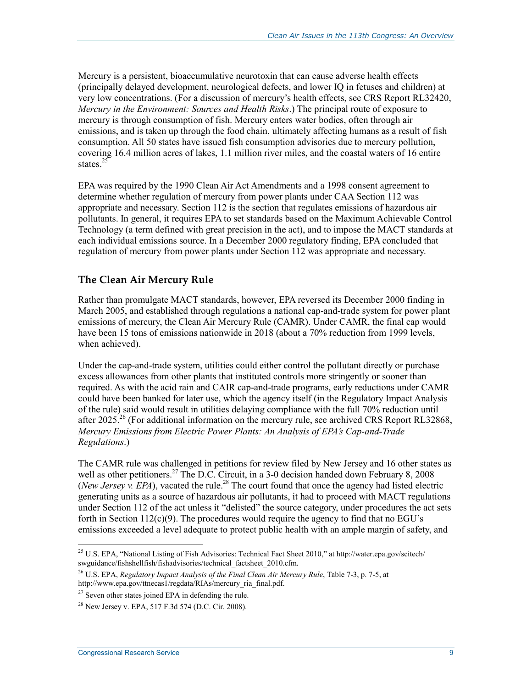Mercury is a persistent, bioaccumulative neurotoxin that can cause adverse health effects (principally delayed development, neurological defects, and lower IQ in fetuses and children) at very low concentrations. (For a discussion of mercury's health effects, see CRS Report RL32420, *Mercury in the Environment: Sources and Health Risks*.) The principal route of exposure to mercury is through consumption of fish. Mercury enters water bodies, often through air emissions, and is taken up through the food chain, ultimately affecting humans as a result of fish consumption. All 50 states have issued fish consumption advisories due to mercury pollution, covering 16.4 million acres of lakes, 1.1 million river miles, and the coastal waters of 16 entire states.<sup>25</sup>

EPA was required by the 1990 Clean Air Act Amendments and a 1998 consent agreement to determine whether regulation of mercury from power plants under CAA Section 112 was appropriate and necessary. Section 112 is the section that regulates emissions of hazardous air pollutants. In general, it requires EPA to set standards based on the Maximum Achievable Control Technology (a term defined with great precision in the act), and to impose the MACT standards at each individual emissions source. In a December 2000 regulatory finding, EPA concluded that regulation of mercury from power plants under Section 112 was appropriate and necessary.

#### **The Clean Air Mercury Rule**

Rather than promulgate MACT standards, however, EPA reversed its December 2000 finding in March 2005, and established through regulations a national cap-and-trade system for power plant emissions of mercury, the Clean Air Mercury Rule (CAMR). Under CAMR, the final cap would have been 15 tons of emissions nationwide in 2018 (about a 70% reduction from 1999 levels, when achieved).

Under the cap-and-trade system, utilities could either control the pollutant directly or purchase excess allowances from other plants that instituted controls more stringently or sooner than required. As with the acid rain and CAIR cap-and-trade programs, early reductions under CAMR could have been banked for later use, which the agency itself (in the Regulatory Impact Analysis of the rule) said would result in utilities delaying compliance with the full 70% reduction until after 2025.<sup>26</sup> (For additional information on the mercury rule, see archived CRS Report RL32868, *Mercury Emissions from Electric Power Plants: An Analysis of EPA's Cap-and-Trade Regulations*.)

The CAMR rule was challenged in petitions for review filed by New Jersey and 16 other states as well as other petitioners.<sup>27</sup> The D.C. Circuit, in a 3-0 decision handed down February 8, 2008 (*New Jersey v. EPA*), vacated the rule.<sup>28</sup> The court found that once the agency had listed electric generating units as a source of hazardous air pollutants, it had to proceed with MACT regulations under Section 112 of the act unless it "delisted" the source category, under procedures the act sets forth in Section  $112(c)(9)$ . The procedures would require the agency to find that no EGU's emissions exceeded a level adequate to protect public health with an ample margin of safety, and

<sup>&</sup>lt;sup>25</sup> U.S. EPA, "National Listing of Fish Advisories: Technical Fact Sheet 2010," at http://water.epa.gov/scitech/ swguidance/fishshellfish/fishadvisories/technical\_factsheet\_2010.cfm.

<sup>26</sup> U.S. EPA, *Regulatory Impact Analysis of the Final Clean Air Mercury Rule*, Table 7-3, p. 7-5, at http://www.epa.gov/ttnecas1/regdata/RIAs/mercury\_ria\_final.pdf.

 $27$  Seven other states joined EPA in defending the rule.

 $^{28}$  New Jersey v. EPA, 517 F.3d 574 (D.C. Cir. 2008).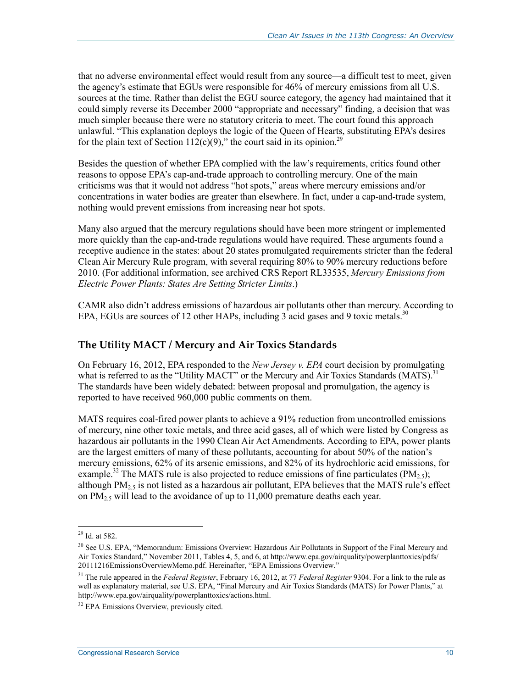that no adverse environmental effect would result from any source—a difficult test to meet, given the agency's estimate that EGUs were responsible for 46% of mercury emissions from all U.S. sources at the time. Rather than delist the EGU source category, the agency had maintained that it could simply reverse its December 2000 "appropriate and necessary" finding, a decision that was much simpler because there were no statutory criteria to meet. The court found this approach unlawful. "This explanation deploys the logic of the Queen of Hearts, substituting EPA's desires for the plain text of Section 112(c)(9)," the court said in its opinion.<sup>29</sup>

Besides the question of whether EPA complied with the law's requirements, critics found other reasons to oppose EPA's cap-and-trade approach to controlling mercury. One of the main criticisms was that it would not address "hot spots," areas where mercury emissions and/or concentrations in water bodies are greater than elsewhere. In fact, under a cap-and-trade system, nothing would prevent emissions from increasing near hot spots.

Many also argued that the mercury regulations should have been more stringent or implemented more quickly than the cap-and-trade regulations would have required. These arguments found a receptive audience in the states: about 20 states promulgated requirements stricter than the federal Clean Air Mercury Rule program, with several requiring 80% to 90% mercury reductions before 2010. (For additional information, see archived CRS Report RL33535, *Mercury Emissions from Electric Power Plants: States Are Setting Stricter Limits*.)

CAMR also didn't address emissions of hazardous air pollutants other than mercury. According to EPA, EGUs are sources of 12 other HAPs, including  $\overline{3}$  acid gases and 9 toxic metals.<sup>30</sup>

#### **The Utility MACT / Mercury and Air Toxics Standards**

On February 16, 2012, EPA responded to the *New Jersey v. EPA* court decision by promulgating what is referred to as the "Utility MACT" or the Mercury and Air Toxics Standards (MATS).<sup>31</sup> The standards have been widely debated: between proposal and promulgation, the agency is reported to have received 960,000 public comments on them.

MATS requires coal-fired power plants to achieve a 91% reduction from uncontrolled emissions of mercury, nine other toxic metals, and three acid gases, all of which were listed by Congress as hazardous air pollutants in the 1990 Clean Air Act Amendments. According to EPA, power plants are the largest emitters of many of these pollutants, accounting for about 50% of the nation's mercury emissions, 62% of its arsenic emissions, and 82% of its hydrochloric acid emissions, for example.<sup>32</sup> The MATS rule is also projected to reduce emissions of fine particulates (PM<sub>2.5</sub>); although  $PM_{2.5}$  is not listed as a hazardous air pollutant, EPA believes that the MATS rule's effect on  $PM_{2.5}$  will lead to the avoidance of up to 11,000 premature deaths each year.

 $29$  Id. at 582.

<sup>&</sup>lt;sup>30</sup> See U.S. EPA, "Memorandum: Emissions Overview: Hazardous Air Pollutants in Support of the Final Mercury and Air Toxics Standard," November 2011, Tables 4, 5, and 6, at http://www.epa.gov/airquality/powerplanttoxics/pdfs/ 20111216EmissionsOverviewMemo.pdf. Hereinafter, "EPA Emissions Overview."

<sup>31</sup> The rule appeared in the *Federal Register*, February 16, 2012, at 77 *Federal Register* 9304. For a link to the rule as well as explanatory material, see U.S. EPA, "Final Mercury and Air Toxics Standards (MATS) for Power Plants," at http://www.epa.gov/airquality/powerplanttoxics/actions.html.

<sup>&</sup>lt;sup>32</sup> EPA Emissions Overview, previously cited.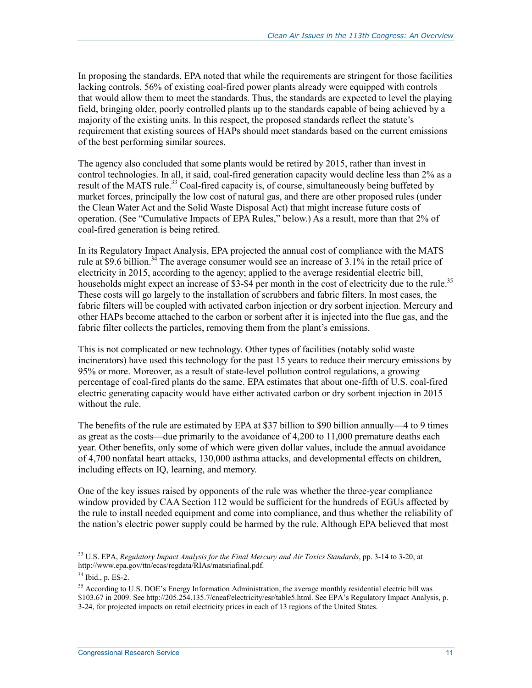In proposing the standards, EPA noted that while the requirements are stringent for those facilities lacking controls, 56% of existing coal-fired power plants already were equipped with controls that would allow them to meet the standards. Thus, the standards are expected to level the playing field, bringing older, poorly controlled plants up to the standards capable of being achieved by a majority of the existing units. In this respect, the proposed standards reflect the statute's requirement that existing sources of HAPs should meet standards based on the current emissions of the best performing similar sources.

The agency also concluded that some plants would be retired by 2015, rather than invest in control technologies. In all, it said, coal-fired generation capacity would decline less than 2% as a result of the MATS rule.<sup>33</sup> Coal-fired capacity is, of course, simultaneously being buffeted by market forces, principally the low cost of natural gas, and there are other proposed rules (under the Clean Water Act and the Solid Waste Disposal Act) that might increase future costs of operation. (See "Cumulative Impacts of EPA Rules," below.) As a result, more than that 2% of coal-fired generation is being retired.

In its Regulatory Impact Analysis, EPA projected the annual cost of compliance with the MATS rule at \$9.6 billion.<sup>34</sup> The average consumer would see an increase of 3.1% in the retail price of electricity in 2015, according to the agency; applied to the average residential electric bill, households might expect an increase of \$3-\$4 per month in the cost of electricity due to the rule.<sup>35</sup> These costs will go largely to the installation of scrubbers and fabric filters. In most cases, the fabric filters will be coupled with activated carbon injection or dry sorbent injection. Mercury and other HAPs become attached to the carbon or sorbent after it is injected into the flue gas, and the fabric filter collects the particles, removing them from the plant's emissions.

This is not complicated or new technology. Other types of facilities (notably solid waste incinerators) have used this technology for the past 15 years to reduce their mercury emissions by 95% or more. Moreover, as a result of state-level pollution control regulations, a growing percentage of coal-fired plants do the same. EPA estimates that about one-fifth of U.S. coal-fired electric generating capacity would have either activated carbon or dry sorbent injection in 2015 without the rule.

The benefits of the rule are estimated by EPA at \$37 billion to \$90 billion annually—4 to 9 times as great as the costs—due primarily to the avoidance of 4,200 to 11,000 premature deaths each year. Other benefits, only some of which were given dollar values, include the annual avoidance of 4,700 nonfatal heart attacks, 130,000 asthma attacks, and developmental effects on children, including effects on IQ, learning, and memory.

One of the key issues raised by opponents of the rule was whether the three-year compliance window provided by CAA Section 112 would be sufficient for the hundreds of EGUs affected by the rule to install needed equipment and come into compliance, and thus whether the reliability of the nation's electric power supply could be harmed by the rule. Although EPA believed that most

<sup>33</sup> U.S. EPA, *Regulatory Impact Analysis for the Final Mercury and Air Toxics Standards*, pp. 3-14 to 3-20, at http://www.epa.gov/ttn/ecas/regdata/RIAs/matsriafinal.pdf.

<sup>34</sup> Ibid., p. ES-2.

<sup>&</sup>lt;sup>35</sup> According to U.S. DOE's Energy Information Administration, the average monthly residential electric bill was \$103.67 in 2009. See http://205.254.135.7/cneaf/electricity/esr/table5.html. See EPA's Regulatory Impact Analysis, p. 3-24, for projected impacts on retail electricity prices in each of 13 regions of the United States.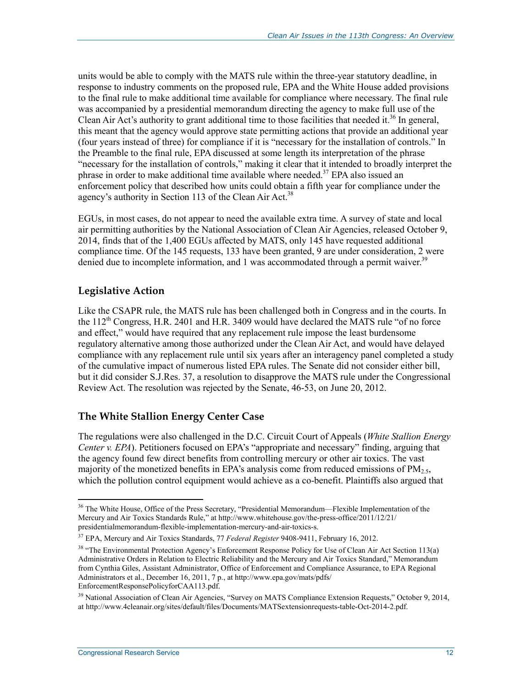units would be able to comply with the MATS rule within the three-year statutory deadline, in response to industry comments on the proposed rule, EPA and the White House added provisions to the final rule to make additional time available for compliance where necessary. The final rule was accompanied by a presidential memorandum directing the agency to make full use of the Clean Air Act's authority to grant additional time to those facilities that needed it.<sup>36</sup> In general, this meant that the agency would approve state permitting actions that provide an additional year (four years instead of three) for compliance if it is "necessary for the installation of controls." In the Preamble to the final rule, EPA discussed at some length its interpretation of the phrase "necessary for the installation of controls," making it clear that it intended to broadly interpret the phrase in order to make additional time available where needed.<sup>37</sup> EPA also issued an enforcement policy that described how units could obtain a fifth year for compliance under the agency's authority in Section 113 of the Clean Air Act.<sup>38</sup>

EGUs, in most cases, do not appear to need the available extra time. A survey of state and local air permitting authorities by the National Association of Clean Air Agencies, released October 9, 2014, finds that of the 1,400 EGUs affected by MATS, only 145 have requested additional compliance time. Of the 145 requests, 133 have been granted, 9 are under consideration, 2 were denied due to incomplete information, and 1 was accommodated through a permit waiver.<sup>39</sup>

#### **Legislative Action**

Like the CSAPR rule, the MATS rule has been challenged both in Congress and in the courts. In the  $112<sup>th</sup>$  Congress, H.R. 2401 and H.R. 3409 would have declared the MATS rule "of no force" and effect," would have required that any replacement rule impose the least burdensome regulatory alternative among those authorized under the Clean Air Act, and would have delayed compliance with any replacement rule until six years after an interagency panel completed a study of the cumulative impact of numerous listed EPA rules. The Senate did not consider either bill, but it did consider S.J.Res. 37, a resolution to disapprove the MATS rule under the Congressional Review Act. The resolution was rejected by the Senate, 46-53, on June 20, 2012.

#### **The White Stallion Energy Center Case**

The regulations were also challenged in the D.C. Circuit Court of Appeals (*White Stallion Energy Center v. EPA*). Petitioners focused on EPA's "appropriate and necessary" finding, arguing that the agency found few direct benefits from controlling mercury or other air toxics. The vast majority of the monetized benefits in EPA's analysis come from reduced emissions of  $PM<sub>2.5</sub>$ , which the pollution control equipment would achieve as a co-benefit. Plaintiffs also argued that

<sup>&</sup>lt;u>.</u>  $36$  The White House, Office of the Press Secretary, "Presidential Memorandum—Flexible Implementation of the Mercury and Air Toxics Standards Rule," at http://www.whitehouse.gov/the-press-office/2011/12/21/ presidentialmemorandum-flexible-implementation-mercury-and-air-toxics-s.

<sup>37</sup> EPA, Mercury and Air Toxics Standards, 77 *Federal Register* 9408-9411, February 16, 2012.

<sup>&</sup>lt;sup>38</sup> "The Environmental Protection Agency's Enforcement Response Policy for Use of Clean Air Act Section 113(a) Administrative Orders in Relation to Electric Reliability and the Mercury and Air Toxics Standard," Memorandum from Cynthia Giles, Assistant Administrator, Office of Enforcement and Compliance Assurance, to EPA Regional Administrators et al., December 16, 2011, 7 p., at http://www.epa.gov/mats/pdfs/ EnforcementResponsePolicyforCAA113.pdf.

<sup>&</sup>lt;sup>39</sup> National Association of Clean Air Agencies, "Survey on MATS Compliance Extension Requests," October 9, 2014, at http://www.4cleanair.org/sites/default/files/Documents/MATSextensionrequests-table-Oct-2014-2.pdf.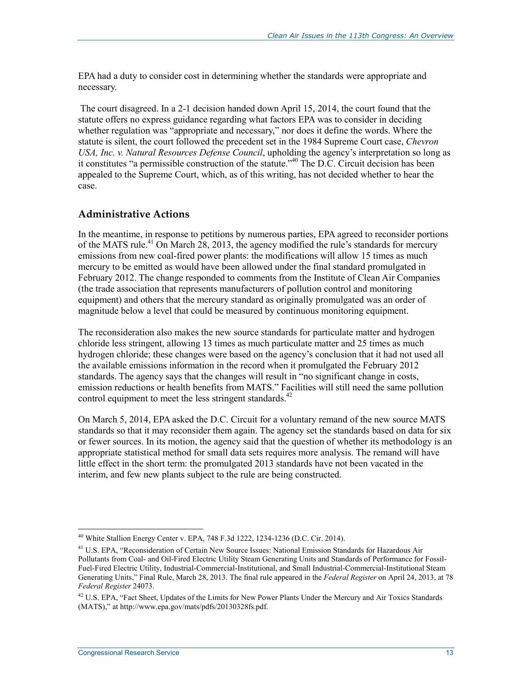EPA had a duty to consider cost in determining whether the standards were appropriate and necessary.

 The court disagreed. In a 2-1 decision handed down April 15, 2014, the court found that the statute offers no express guidance regarding what factors EPA was to consider in deciding whether regulation was "appropriate and necessary," nor does it define the words. Where the statute is silent, the court followed the precedent set in the 1984 Supreme Court case, *Chevron USA, Inc. v. Natural Resources Defense Council*, upholding the agency's interpretation so long as it constitutes "a permissible construction of the statute."40 The D.C. Circuit decision has been appealed to the Supreme Court, which, as of this writing, has not decided whether to hear the case.

#### **Administrative Actions**

In the meantime, in response to petitions by numerous parties, EPA agreed to reconsider portions of the MATS rule.<sup>41</sup> On March 28, 2013, the agency modified the rule's standards for mercury emissions from new coal-fired power plants: the modifications will allow 15 times as much mercury to be emitted as would have been allowed under the final standard promulgated in February 2012. The change responded to comments from the Institute of Clean Air Companies (the trade association that represents manufacturers of pollution control and monitoring equipment) and others that the mercury standard as originally promulgated was an order of magnitude below a level that could be measured by continuous monitoring equipment.

The reconsideration also makes the new source standards for particulate matter and hydrogen chloride less stringent, allowing 13 times as much particulate matter and 25 times as much hydrogen chloride; these changes were based on the agency's conclusion that it had not used all the available emissions information in the record when it promulgated the February 2012 standards. The agency says that the changes will result in "no significant change in costs, emission reductions or health benefits from MATS." Facilities will still need the same pollution control equipment to meet the less stringent standards.<sup>42</sup>

On March 5, 2014, EPA asked the D.C. Circuit for a voluntary remand of the new source MATS standards so that it may reconsider them again. The agency set the standards based on data for six or fewer sources. In its motion, the agency said that the question of whether its methodology is an appropriate statistical method for small data sets requires more analysis. The remand will have little effect in the short term: the promulgated 2013 standards have not been vacated in the interim, and few new plants subject to the rule are being constructed.

<sup>40</sup> White Stallion Energy Center v. EPA, 748 F.3d 1222, 1234-1236 (D.C. Cir. 2014).

<sup>41</sup> U.S. EPA, "Reconsideration of Certain New Source Issues: National Emission Standards for Hazardous Air Pollutants from Coal- and Oil-Fired Electric Utility Steam Generating Units and Standards of Performance for Fossil-Fuel-Fired Electric Utility, Industrial-Commercial-Institutional, and Small Industrial-Commercial-Institutional Steam Generating Units," Final Rule, March 28, 2013. The final rule appeared in the *Federal Register* on April 24, 2013, at 78 *Federal Register* 24073.

 $42$  U.S. EPA, "Fact Sheet, Updates of the Limits for New Power Plants Under the Mercury and Air Toxics Standards (MATS)," at http://www.epa.gov/mats/pdfs/20130328fs.pdf.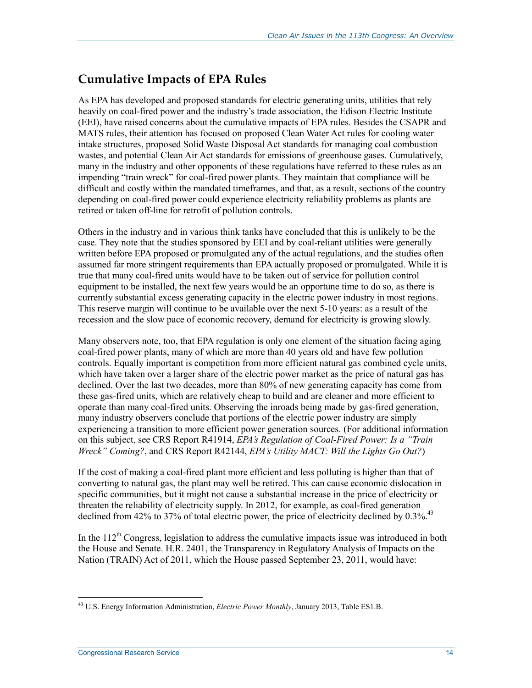### **Cumulative Impacts of EPA Rules**

As EPA has developed and proposed standards for electric generating units, utilities that rely heavily on coal-fired power and the industry's trade association, the Edison Electric Institute (EEI), have raised concerns about the cumulative impacts of EPA rules. Besides the CSAPR and MATS rules, their attention has focused on proposed Clean Water Act rules for cooling water intake structures, proposed Solid Waste Disposal Act standards for managing coal combustion wastes, and potential Clean Air Act standards for emissions of greenhouse gases. Cumulatively, many in the industry and other opponents of these regulations have referred to these rules as an impending "train wreck" for coal-fired power plants. They maintain that compliance will be difficult and costly within the mandated timeframes, and that, as a result, sections of the country depending on coal-fired power could experience electricity reliability problems as plants are retired or taken off-line for retrofit of pollution controls.

Others in the industry and in various think tanks have concluded that this is unlikely to be the case. They note that the studies sponsored by EEI and by coal-reliant utilities were generally written before EPA proposed or promulgated any of the actual regulations, and the studies often assumed far more stringent requirements than EPA actually proposed or promulgated. While it is true that many coal-fired units would have to be taken out of service for pollution control equipment to be installed, the next few years would be an opportune time to do so, as there is currently substantial excess generating capacity in the electric power industry in most regions. This reserve margin will continue to be available over the next 5-10 years: as a result of the recession and the slow pace of economic recovery, demand for electricity is growing slowly.

Many observers note, too, that EPA regulation is only one element of the situation facing aging coal-fired power plants, many of which are more than 40 years old and have few pollution controls. Equally important is competition from more efficient natural gas combined cycle units, which have taken over a larger share of the electric power market as the price of natural gas has declined. Over the last two decades, more than 80% of new generating capacity has come from these gas-fired units, which are relatively cheap to build and are cleaner and more efficient to operate than many coal-fired units. Observing the inroads being made by gas-fired generation, many industry observers conclude that portions of the electric power industry are simply experiencing a transition to more efficient power generation sources. (For additional information on this subject, see CRS Report R41914, *EPA's Regulation of Coal-Fired Power: Is a "Train Wreck" Coming?*, and CRS Report R42144, *EPA's Utility MACT: Will the Lights Go Out?*)

If the cost of making a coal-fired plant more efficient and less polluting is higher than that of converting to natural gas, the plant may well be retired. This can cause economic dislocation in specific communities, but it might not cause a substantial increase in the price of electricity or threaten the reliability of electricity supply. In 2012, for example, as coal-fired generation declined from 42% to 37% of total electric power, the price of electricity declined by  $0.3\%$ .<sup>43</sup>

In the  $112<sup>th</sup>$  Congress, legislation to address the cumulative impacts issue was introduced in both the House and Senate. H.R. 2401, the Transparency in Regulatory Analysis of Impacts on the Nation (TRAIN) Act of 2011, which the House passed September 23, 2011, would have:

<u>.</u>

<sup>43</sup> U.S. Energy Information Administration, *Electric Power Monthly*, January 2013, Table ES1.B.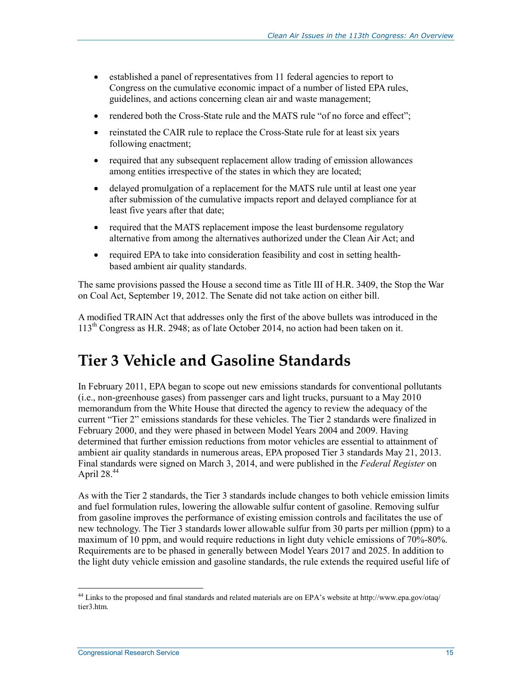- established a panel of representatives from 11 federal agencies to report to Congress on the cumulative economic impact of a number of listed EPA rules, guidelines, and actions concerning clean air and waste management;
- rendered both the Cross-State rule and the MATS rule "of no force and effect";
- reinstated the CAIR rule to replace the Cross-State rule for at least six years following enactment;
- required that any subsequent replacement allow trading of emission allowances among entities irrespective of the states in which they are located;
- delayed promulgation of a replacement for the MATS rule until at least one year after submission of the cumulative impacts report and delayed compliance for at least five years after that date;
- required that the MATS replacement impose the least burdensome regulatory alternative from among the alternatives authorized under the Clean Air Act; and
- required EPA to take into consideration feasibility and cost in setting healthbased ambient air quality standards.

The same provisions passed the House a second time as Title III of H.R. 3409, the Stop the War on Coal Act, September 19, 2012. The Senate did not take action on either bill.

A modified TRAIN Act that addresses only the first of the above bullets was introduced in the 113th Congress as H.R. 2948; as of late October 2014, no action had been taken on it.

## **Tier 3 Vehicle and Gasoline Standards**

In February 2011, EPA began to scope out new emissions standards for conventional pollutants (i.e., non-greenhouse gases) from passenger cars and light trucks, pursuant to a May 2010 memorandum from the White House that directed the agency to review the adequacy of the current "Tier 2" emissions standards for these vehicles. The Tier 2 standards were finalized in February 2000, and they were phased in between Model Years 2004 and 2009. Having determined that further emission reductions from motor vehicles are essential to attainment of ambient air quality standards in numerous areas, EPA proposed Tier 3 standards May 21, 2013. Final standards were signed on March 3, 2014, and were published in the *Federal Register* on April  $28.44$ 

As with the Tier 2 standards, the Tier 3 standards include changes to both vehicle emission limits and fuel formulation rules, lowering the allowable sulfur content of gasoline. Removing sulfur from gasoline improves the performance of existing emission controls and facilitates the use of new technology. The Tier 3 standards lower allowable sulfur from 30 parts per million (ppm) to a maximum of 10 ppm, and would require reductions in light duty vehicle emissions of 70%-80%. Requirements are to be phased in generally between Model Years 2017 and 2025. In addition to the light duty vehicle emission and gasoline standards, the rule extends the required useful life of

<sup>&</sup>lt;sup>44</sup> Links to the proposed and final standards and related materials are on EPA's website at http://www.epa.gov/otaq/ tier3.htm.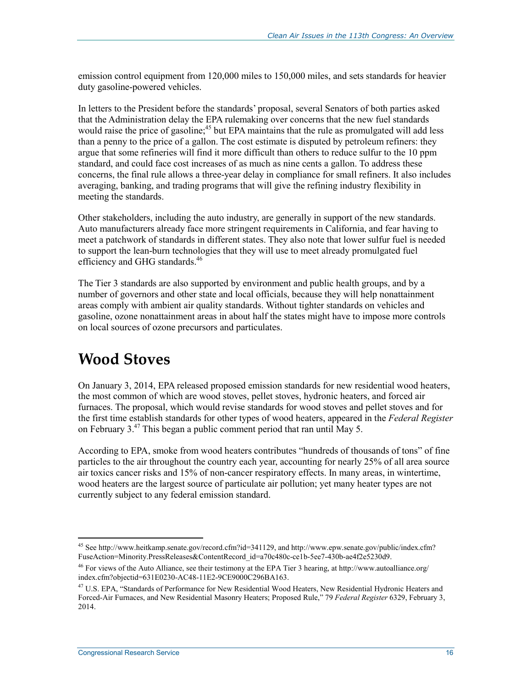emission control equipment from 120,000 miles to 150,000 miles, and sets standards for heavier duty gasoline-powered vehicles.

In letters to the President before the standards' proposal, several Senators of both parties asked that the Administration delay the EPA rulemaking over concerns that the new fuel standards would raise the price of gasoline;<sup>45</sup> but EPA maintains that the rule as promulgated will add less than a penny to the price of a gallon. The cost estimate is disputed by petroleum refiners: they argue that some refineries will find it more difficult than others to reduce sulfur to the 10 ppm standard, and could face cost increases of as much as nine cents a gallon. To address these concerns, the final rule allows a three-year delay in compliance for small refiners. It also includes averaging, banking, and trading programs that will give the refining industry flexibility in meeting the standards.

Other stakeholders, including the auto industry, are generally in support of the new standards. Auto manufacturers already face more stringent requirements in California, and fear having to meet a patchwork of standards in different states. They also note that lower sulfur fuel is needed to support the lean-burn technologies that they will use to meet already promulgated fuel efficiency and GHG standards.<sup>46</sup>

The Tier 3 standards are also supported by environment and public health groups, and by a number of governors and other state and local officials, because they will help nonattainment areas comply with ambient air quality standards. Without tighter standards on vehicles and gasoline, ozone nonattainment areas in about half the states might have to impose more controls on local sources of ozone precursors and particulates.

### **Wood Stoves**

On January 3, 2014, EPA released proposed emission standards for new residential wood heaters, the most common of which are wood stoves, pellet stoves, hydronic heaters, and forced air furnaces. The proposal, which would revise standards for wood stoves and pellet stoves and for the first time establish standards for other types of wood heaters, appeared in the *Federal Register* on February  $3.47$  This began a public comment period that ran until May 5.

According to EPA, smoke from wood heaters contributes "hundreds of thousands of tons" of fine particles to the air throughout the country each year, accounting for nearly 25% of all area source air toxics cancer risks and 15% of non-cancer respiratory effects. In many areas, in wintertime, wood heaters are the largest source of particulate air pollution; yet many heater types are not currently subject to any federal emission standard.

<sup>&</sup>lt;sup>45</sup> See http://www.heitkamp.senate.gov/record.cfm?id=341129, and http://www.epw.senate.gov/public/index.cfm? FuseAction=Minority.PressReleases&ContentRecord\_id=a70c480c-ce1b-5ee7-430b-ae4f2e5230d9.

 $^{46}$  For views of the Auto Alliance, see their testimony at the EPA Tier 3 hearing, at http://www.autoalliance.org/ index.cfm?objectid=631E0230-AC48-11E2-9CE9000C296BA163.

<sup>&</sup>lt;sup>47</sup> U.S. EPA, "Standards of Performance for New Residential Wood Heaters, New Residential Hydronic Heaters and Forced-Air Furnaces, and New Residential Masonry Heaters; Proposed Rule," 79 *Federal Register* 6329, February 3, 2014.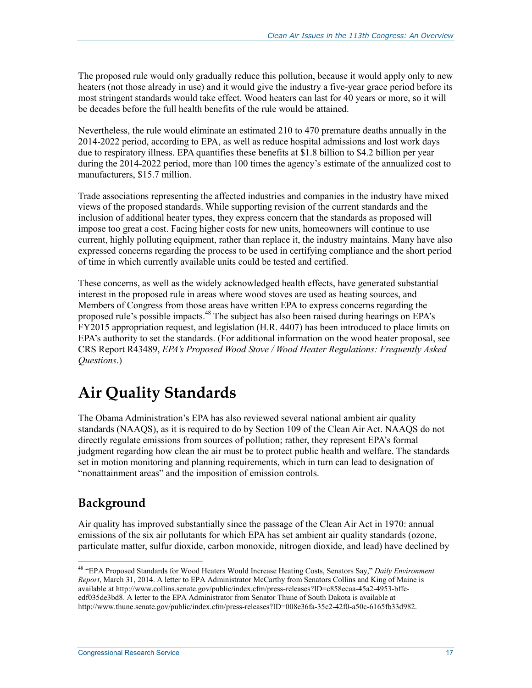The proposed rule would only gradually reduce this pollution, because it would apply only to new heaters (not those already in use) and it would give the industry a five-year grace period before its most stringent standards would take effect. Wood heaters can last for 40 years or more, so it will be decades before the full health benefits of the rule would be attained.

Nevertheless, the rule would eliminate an estimated 210 to 470 premature deaths annually in the 2014-2022 period, according to EPA, as well as reduce hospital admissions and lost work days due to respiratory illness. EPA quantifies these benefits at \$1.8 billion to \$4.2 billion per year during the 2014-2022 period, more than 100 times the agency's estimate of the annualized cost to manufacturers, \$15.7 million.

Trade associations representing the affected industries and companies in the industry have mixed views of the proposed standards. While supporting revision of the current standards and the inclusion of additional heater types, they express concern that the standards as proposed will impose too great a cost. Facing higher costs for new units, homeowners will continue to use current, highly polluting equipment, rather than replace it, the industry maintains. Many have also expressed concerns regarding the process to be used in certifying compliance and the short period of time in which currently available units could be tested and certified.

These concerns, as well as the widely acknowledged health effects, have generated substantial interest in the proposed rule in areas where wood stoves are used as heating sources, and Members of Congress from those areas have written EPA to express concerns regarding the proposed rule's possible impacts.<sup>48</sup> The subject has also been raised during hearings on EPA's FY2015 appropriation request, and legislation (H.R. 4407) has been introduced to place limits on EPA's authority to set the standards. (For additional information on the wood heater proposal, see CRS Report R43489, *EPA's Proposed Wood Stove / Wood Heater Regulations: Frequently Asked Questions*.)

## **Air Quality Standards**

The Obama Administration's EPA has also reviewed several national ambient air quality standards (NAAQS), as it is required to do by Section 109 of the Clean Air Act. NAAQS do not directly regulate emissions from sources of pollution; rather, they represent EPA's formal judgment regarding how clean the air must be to protect public health and welfare. The standards set in motion monitoring and planning requirements, which in turn can lead to designation of "nonattainment areas" and the imposition of emission controls.

### **Background**

1

Air quality has improved substantially since the passage of the Clean Air Act in 1970: annual emissions of the six air pollutants for which EPA has set ambient air quality standards (ozone, particulate matter, sulfur dioxide, carbon monoxide, nitrogen dioxide, and lead) have declined by

<sup>48 &</sup>quot;EPA Proposed Standards for Wood Heaters Would Increase Heating Costs, Senators Say," *Daily Environment Report*, March 31, 2014. A letter to EPA Administrator McCarthy from Senators Collins and King of Maine is available at http://www.collins.senate.gov/public/index.cfm/press-releases?ID=c858ecaa-45a2-4953-bffeedf035de3bd8. A letter to the EPA Administrator from Senator Thune of South Dakota is available at http://www.thune.senate.gov/public/index.cfm/press-releases?ID=008e36fa-35c2-42f0-a50c-6165fb33d982.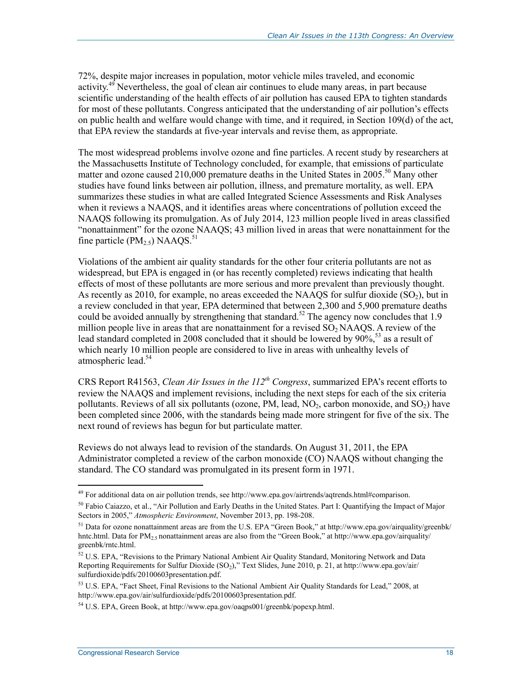72%, despite major increases in population, motor vehicle miles traveled, and economic activity.<sup>49</sup> Nevertheless, the goal of clean air continues to elude many areas, in part because scientific understanding of the health effects of air pollution has caused EPA to tighten standards for most of these pollutants. Congress anticipated that the understanding of air pollution's effects on public health and welfare would change with time, and it required, in Section 109(d) of the act, that EPA review the standards at five-year intervals and revise them, as appropriate.

The most widespread problems involve ozone and fine particles. A recent study by researchers at the Massachusetts Institute of Technology concluded, for example, that emissions of particulate matter and ozone caused 210,000 premature deaths in the United States in 2005.<sup>50</sup> Many other studies have found links between air pollution, illness, and premature mortality, as well. EPA summarizes these studies in what are called Integrated Science Assessments and Risk Analyses when it reviews a NAAQS, and it identifies areas where concentrations of pollution exceed the NAAQS following its promulgation. As of July 2014, 123 million people lived in areas classified "nonattainment" for the ozone NAAQS; 43 million lived in areas that were nonattainment for the fine particle  $(PM_2, 5)$  NAAOS.<sup>51</sup>

Violations of the ambient air quality standards for the other four criteria pollutants are not as widespread, but EPA is engaged in (or has recently completed) reviews indicating that health effects of most of these pollutants are more serious and more prevalent than previously thought. As recently as 2010, for example, no areas exceeded the NAAQS for sulfur dioxide  $(SO<sub>2</sub>)$ , but in a review concluded in that year, EPA determined that between 2,300 and 5,900 premature deaths could be avoided annually by strengthening that standard.<sup>52</sup> The agency now concludes that 1.9 million people live in areas that are nonattainment for a revised  $SO<sub>2</sub>$  NAAOS. A review of the lead standard completed in 2008 concluded that it should be lowered by  $90\%$ <sup>53</sup> as a result of which nearly 10 million people are considered to live in areas with unhealthy levels of atmospheric lead.<sup>54</sup>

CRS Report R41563, *Clean Air Issues in the 112th Congress*, summarized EPA's recent efforts to review the NAAQS and implement revisions, including the next steps for each of the six criteria pollutants. Reviews of all six pollutants (ozone, PM, lead,  $NO<sub>2</sub>$ , carbon monoxide, and  $SO<sub>2</sub>$ ) have been completed since 2006, with the standards being made more stringent for five of the six. The next round of reviews has begun for but particulate matter.

Reviews do not always lead to revision of the standards. On August 31, 2011, the EPA Administrator completed a review of the carbon monoxide (CO) NAAQS without changing the standard. The CO standard was promulgated in its present form in 1971.

<sup>&</sup>lt;sup>49</sup> For additional data on air pollution trends, see http://www.epa.gov/airtrends/aqtrends.html#comparison.

<sup>&</sup>lt;sup>50</sup> Fabio Caiazzo, et al., "Air Pollution and Early Deaths in the United States. Part I: Quantifying the Impact of Major Sectors in 2005," *Atmospheric Environment*, November 2013, pp. 198-208.

<sup>&</sup>lt;sup>51</sup> Data for ozone nonattainment areas are from the U.S. EPA "Green Book," at http://www.epa.gov/airquality/greenbk/ hntc.html. Data for PM<sub>2.5</sub> nonattainment areas are also from the "Green Book," at http://www.epa.gov/airquality/ greenbk/rntc.html.

<sup>&</sup>lt;sup>52</sup> U.S. EPA, "Revisions to the Primary National Ambient Air Quality Standard, Monitoring Network and Data Reporting Requirements for Sulfur Dioxide (SO<sub>2</sub>)," Text Slides, June 2010, p. 21, at http://www.epa.gov/air/ sulfurdioxide/pdfs/20100603presentation.pdf.

<sup>&</sup>lt;sup>53</sup> U.S. EPA, "Fact Sheet, Final Revisions to the National Ambient Air Quality Standards for Lead," 2008, at http://www.epa.gov/air/sulfurdioxide/pdfs/20100603presentation.pdf.

<sup>54</sup> U.S. EPA, Green Book, at http://www.epa.gov/oaqps001/greenbk/popexp.html.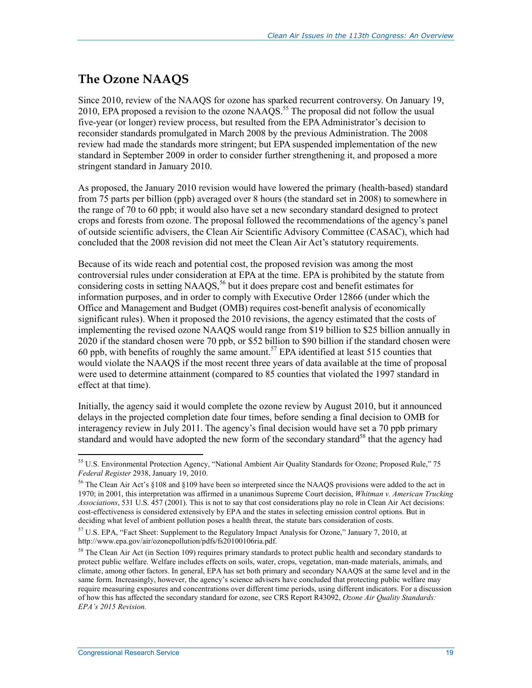### **The Ozone NAAQS**

Since 2010, review of the NAAQS for ozone has sparked recurrent controversy. On January 19, 2010, EPA proposed a revision to the ozone  $NAAQS$ <sup>55</sup>. The proposal did not follow the usual five-year (or longer) review process, but resulted from the EPA Administrator's decision to reconsider standards promulgated in March 2008 by the previous Administration. The 2008 review had made the standards more stringent; but EPA suspended implementation of the new standard in September 2009 in order to consider further strengthening it, and proposed a more stringent standard in January 2010.

As proposed, the January 2010 revision would have lowered the primary (health-based) standard from 75 parts per billion (ppb) averaged over 8 hours (the standard set in 2008) to somewhere in the range of 70 to 60 ppb; it would also have set a new secondary standard designed to protect crops and forests from ozone. The proposal followed the recommendations of the agency's panel of outside scientific advisers, the Clean Air Scientific Advisory Committee (CASAC), which had concluded that the 2008 revision did not meet the Clean Air Act's statutory requirements.

Because of its wide reach and potential cost, the proposed revision was among the most controversial rules under consideration at EPA at the time. EPA is prohibited by the statute from considering costs in setting NAAQS,<sup>56</sup> but it does prepare cost and benefit estimates for information purposes, and in order to comply with Executive Order 12866 (under which the Office and Management and Budget (OMB) requires cost-benefit analysis of economically significant rules). When it proposed the 2010 revisions, the agency estimated that the costs of implementing the revised ozone NAAQS would range from \$19 billion to \$25 billion annually in 2020 if the standard chosen were 70 ppb, or \$52 billion to \$90 billion if the standard chosen were 60 ppb, with benefits of roughly the same amount.<sup>57</sup> EPA identified at least 515 counties that would violate the NAAQS if the most recent three years of data available at the time of proposal were used to determine attainment (compared to 85 counties that violated the 1997 standard in effect at that time).

Initially, the agency said it would complete the ozone review by August 2010, but it announced delays in the projected completion date four times, before sending a final decision to OMB for interagency review in July 2011. The agency's final decision would have set a 70 ppb primary standard and would have adopted the new form of the secondary standard<sup>58</sup> that the agency had

<sup>&</sup>lt;u>.</u> 55 U.S. Environmental Protection Agency, "National Ambient Air Quality Standards for Ozone; Proposed Rule," 75 *Federal Register* 2938, January 19, 2010.

<sup>&</sup>lt;sup>56</sup> The Clean Air Act's §108 and §109 have been so interpreted since the NAAQS provisions were added to the act in 1970; in 2001, this interpretation was affirmed in a unanimous Supreme Court decision, *Whitman v. American Trucking Associations*, 531 U.S. 457 (2001). This is not to say that cost considerations play no role in Clean Air Act decisions: cost-effectiveness is considered extensively by EPA and the states in selecting emission control options. But in deciding what level of ambient pollution poses a health threat, the statute bars consideration of costs.

<sup>57</sup> U.S. EPA, "Fact Sheet: Supplement to the Regulatory Impact Analysis for Ozone," January 7, 2010, at http://www.epa.gov/air/ozonepollution/pdfs/fs20100106ria.pdf.

<sup>&</sup>lt;sup>58</sup> The Clean Air Act (in Section 109) requires primary standards to protect public health and secondary standards to protect public welfare. Welfare includes effects on soils, water, crops, vegetation, man-made materials, animals, and climate, among other factors. In general, EPA has set both primary and secondary NAAQS at the same level and in the same form. Increasingly, however, the agency's science advisers have concluded that protecting public welfare may require measuring exposures and concentrations over different time periods, using different indicators. For a discussion of how this has affected the secondary standard for ozone, see CRS Report R43092, *Ozone Air Quality Standards: EPA's 2015 Revision.*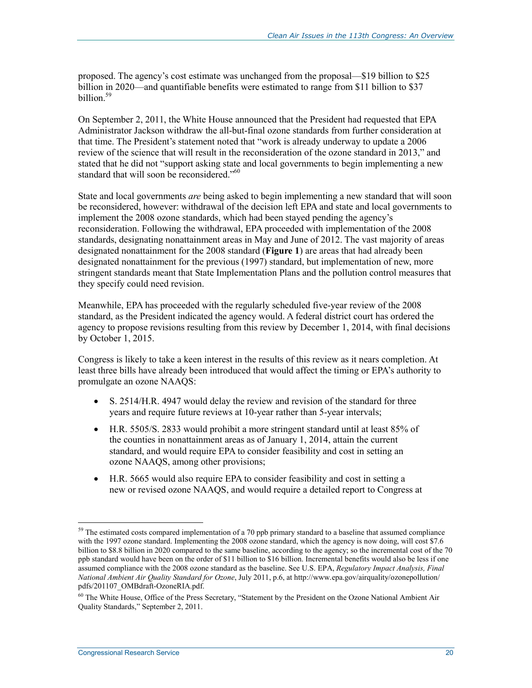proposed. The agency's cost estimate was unchanged from the proposal—\$19 billion to \$25 billion in 2020—and quantifiable benefits were estimated to range from \$11 billion to \$37 billion.59

On September 2, 2011, the White House announced that the President had requested that EPA Administrator Jackson withdraw the all-but-final ozone standards from further consideration at that time. The President's statement noted that "work is already underway to update a 2006 review of the science that will result in the reconsideration of the ozone standard in 2013," and stated that he did not "support asking state and local governments to begin implementing a new standard that will soon be reconsidered."<sup>60</sup>

State and local governments *are* being asked to begin implementing a new standard that will soon be reconsidered, however: withdrawal of the decision left EPA and state and local governments to implement the 2008 ozone standards, which had been stayed pending the agency's reconsideration. Following the withdrawal, EPA proceeded with implementation of the 2008 standards, designating nonattainment areas in May and June of 2012. The vast majority of areas designated nonattainment for the 2008 standard (**Figure 1**) are areas that had already been designated nonattainment for the previous (1997) standard, but implementation of new, more stringent standards meant that State Implementation Plans and the pollution control measures that they specify could need revision.

Meanwhile, EPA has proceeded with the regularly scheduled five-year review of the 2008 standard, as the President indicated the agency would. A federal district court has ordered the agency to propose revisions resulting from this review by December 1, 2014, with final decisions by October 1, 2015.

Congress is likely to take a keen interest in the results of this review as it nears completion. At least three bills have already been introduced that would affect the timing or EPA's authority to promulgate an ozone NAAQS:

- S. 2514/H.R. 4947 would delay the review and revision of the standard for three years and require future reviews at 10-year rather than 5-year intervals;
- H.R. 5505/S. 2833 would prohibit a more stringent standard until at least 85% of the counties in nonattainment areas as of January 1, 2014, attain the current standard, and would require EPA to consider feasibility and cost in setting an ozone NAAQS, among other provisions;
- H.R. 5665 would also require EPA to consider feasibility and cost in setting a new or revised ozone NAAQS, and would require a detailed report to Congress at

<sup>1</sup>  $59$  The estimated costs compared implementation of a 70 ppb primary standard to a baseline that assumed compliance with the 1997 ozone standard. Implementing the 2008 ozone standard, which the agency is now doing, will cost \$7.6 billion to \$8.8 billion in 2020 compared to the same baseline, according to the agency; so the incremental cost of the 70 ppb standard would have been on the order of \$11 billion to \$16 billion. Incremental benefits would also be less if one assumed compliance with the 2008 ozone standard as the baseline. See U.S. EPA, *Regulatory Impact Analysis, Final National Ambient Air Quality Standard for Ozone*, July 2011, p.6, at http://www.epa.gov/airquality/ozonepollution/ pdfs/201107\_OMBdraft-OzoneRIA.pdf.

<sup>&</sup>lt;sup>60</sup> The White House, Office of the Press Secretary, "Statement by the President on the Ozone National Ambient Air Quality Standards," September 2, 2011.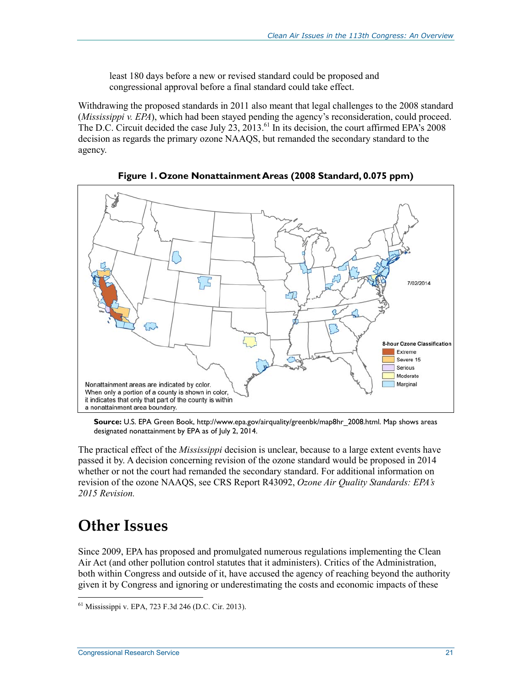least 180 days before a new or revised standard could be proposed and congressional approval before a final standard could take effect.

Withdrawing the proposed standards in 2011 also meant that legal challenges to the 2008 standard (*Mississippi v. EPA*), which had been stayed pending the agency's reconsideration, could proceed. The D.C. Circuit decided the case July  $23$ ,  $2013$ .<sup>61</sup> In its decision, the court affirmed EPA's 2008 decision as regards the primary ozone NAAQS, but remanded the secondary standard to the agency.



**Figure 1. Ozone Nonattainment Areas (2008 Standard, 0.075 ppm)** 

**Source:** U.S. EPA Green Book, http://www.epa.gov/airquality/greenbk/map8hr\_2008.html. Map shows areas designated nonattainment by EPA as of July 2, 2014.

The practical effect of the *Mississippi* decision is unclear, because to a large extent events have passed it by. A decision concerning revision of the ozone standard would be proposed in 2014 whether or not the court had remanded the secondary standard. For additional information on revision of the ozone NAAQS, see CRS Report R43092, *Ozone Air Quality Standards: EPA's 2015 Revision.*

## **Other Issues**

<u>.</u>

Since 2009, EPA has proposed and promulgated numerous regulations implementing the Clean Air Act (and other pollution control statutes that it administers). Critics of the Administration, both within Congress and outside of it, have accused the agency of reaching beyond the authority given it by Congress and ignoring or underestimating the costs and economic impacts of these

<sup>61</sup> Mississippi v. EPA, 723 F.3d 246 (D.C. Cir. 2013).